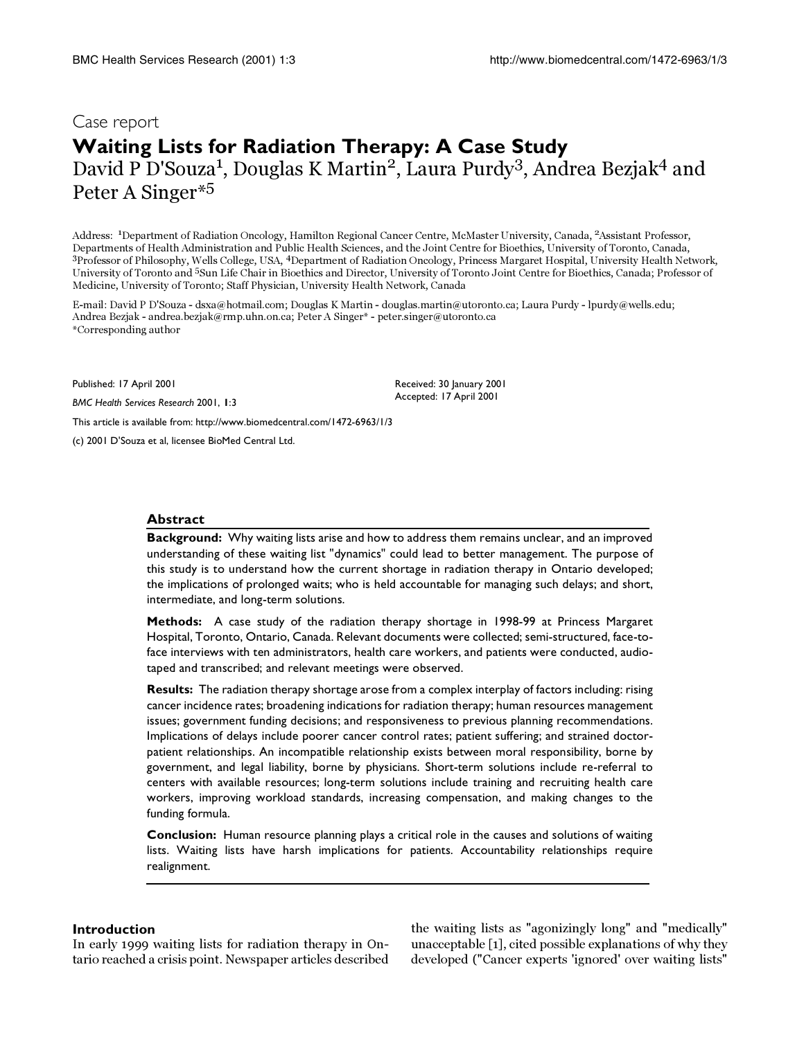# Case report **Waiting Lists for Radiation Therapy: A Case Study** David P D'Souza<sup>1</sup>, Douglas K Martin<sup>2</sup>, Laura Purdy<sup>3</sup>, Andrea Bezjak<sup>4</sup> and Peter A Singer\*<sup>5</sup>

Address: <sup>1</sup>Department of Radiation Oncology, Hamilton Regional Cancer Centre, McMaster University, Canada, <sup>2</sup>Assistant Professor, Departments of Health Administration and Public Health Sciences, and the Joint Centre for Bioethics, University of Toronto, Canada, <sup>3</sup>Professor of Philosophy, Wells College, USA, 4Department of Radiation Oncology, Princess Margaret Hospital, University Health Network, University of Toronto and 5Sun Life Chair in Bioethics and Director, University of Toronto Joint Centre for Bioethics, Canada; Professor of Medicine, University of Toronto; Staff Physician, University Health Network, Canada

> Received: 30 January 2001 Accepted: 17 April 2001

E-mail: David P D'Souza - dsxa@hotmail.com; Douglas K Martin - douglas.martin@utoronto.ca; Laura Purdy - lpurdy@wells.edu; Andrea Bezjak - andrea.bezjak@rmp.uhn.on.ca; Peter A Singer\* - peter.singer@utoronto.ca \*Corresponding author

Published: 17 April 2001

*BMC Health Services Research* 2001, **1**:3

[This article is available from: http://www.biomedcentral.com/1472-6963/1/3](http://www.biomedcentral.com/1472-6963/1/3)

(c) 2001 D'Souza et al, licensee BioMed Central Ltd.

## **Abstract**

**Background:** Why waiting lists arise and how to address them remains unclear, and an improved understanding of these waiting list "dynamics" could lead to better management. The purpose of this study is to understand how the current shortage in radiation therapy in Ontario developed; the implications of prolonged waits; who is held accountable for managing such delays; and short, intermediate, and long-term solutions.

**Methods:** A case study of the radiation therapy shortage in 1 998-99 at Princess Margaret Hospital, Toronto, Ontario, Canada. Relevant documents were collected; semi-structured, face-toface interviews with ten administrators, health care workers, and patients were conducted, audiotaped and transcribed; and relevant meetings were observed.

**Results:** The radiation therapy shortage arose from a complex interplay of factors including: rising cancer incidence rates; broadening indications for radiation therapy; human resources management issues; government funding decisions; and responsiveness to previous planning recommendations. Implications of delays include poorer cancer control rates; patient suffering; and strained doctorpatient relationships. An incompatible relationship exists between moral responsibility, borne by government, and legal liability, borne by physicians. Short-term solutions include re-referral to centers with available resources; long-term solutions include training and recruiting health care workers, improving workload standards, increasing compensation, and making changes to the funding formula.

**Conclusion:** Human resource planning plays a critical role in the causes and solutions of waiting lists. Waiting lists have harsh implications for patients. Accountability relationships require realignment.

## **Introduction**

In early 1999 waiting lists for radiation therapy in Ontario reached a crisis point. Newspaper articles described the waiting lists as "agonizingly long" and "medically" unacceptable [\[1\]](#page-4-0), cited possible explanations of why they developed ("Cancer experts 'ignored' over waiting lists"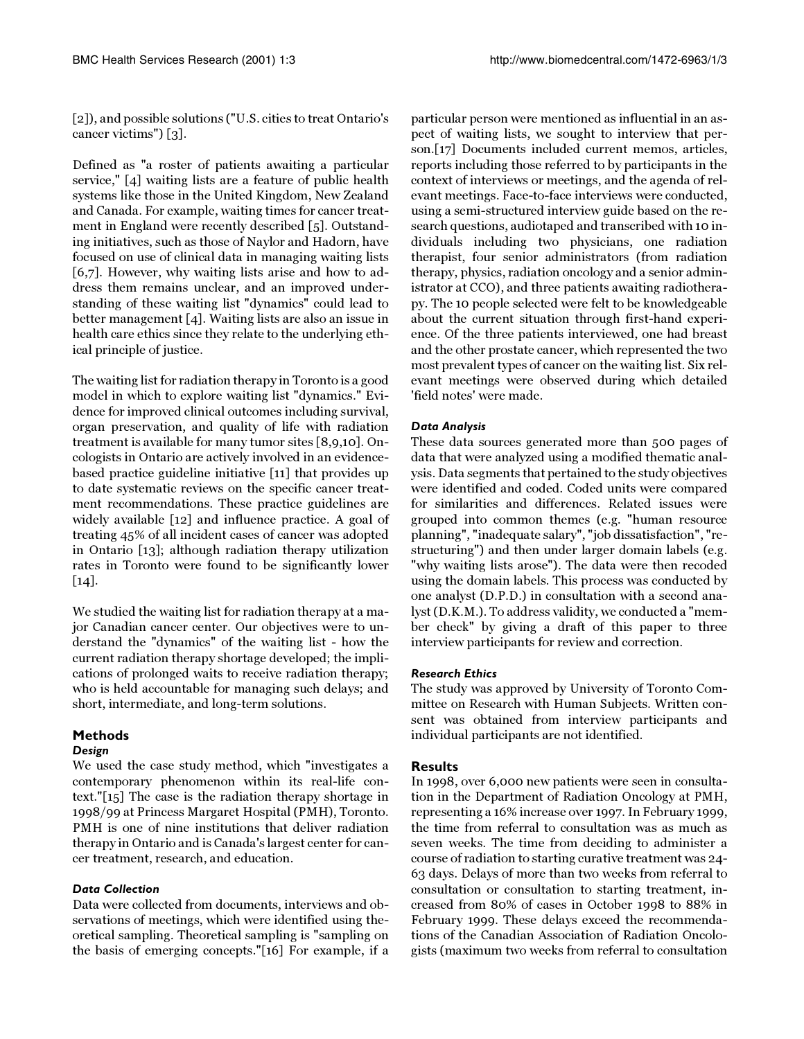[[2](#page-4-1)]), and possible solutions ("U.S. cities to treat Ontario's cancer victims") [\[3\]](#page-4-2).

Defined as "a roster of patients awaiting a particular service," [[4](#page-4-3)] waiting lists are a feature of public health systems like those in the United Kingdom, New Zealand and Canada. For example, waiting times for cancer treatment in England were recently described [\[5\]](#page-4-4). Outstanding initiatives, such as those of Naylor and Hadorn, have focused on use of clinical data in managing waiting lists [[6](#page-4-5),[7](#page-4-6)]. However, why waiting lists arise and how to address them remains unclear, and an improved understanding of these waiting list "dynamics" could lead to better management [\[4\]](#page-4-3). Waiting lists are also an issue in health care ethics since they relate to the underlying ethical principle of justice.

The waiting list for radiation therapy in Toronto is a good model in which to explore waiting list "dynamics." Evidence for improved clinical outcomes including survival, organ preservation, and quality of life with radiation treatment is available for many tumor sites [\[8](#page-4-7),[9](#page-4-8),[10](#page-4-9)]. Oncologists in Ontario are actively involved in an evidencebased practice guideline initiative [\[11](#page-4-10)] that provides up to date systematic reviews on the specific cancer treatment recommendations. These practice guidelines are widely available [[12\]](#page-4-11) and influence practice. A goal of treating 45% of all incident cases of cancer was adopted in Ontario [[13\]](#page-4-12); although radiation therapy utilization rates in Toronto were found to be significantly lower [[14](#page-4-13)].

We studied the waiting list for radiation therapy at a major Canadian cancer center. Our objectives were to understand the "dynamics" of the waiting list - how the current radiation therapy shortage developed; the implications of prolonged waits to receive radiation therapy; who is held accountable for managing such delays; and short, intermediate, and long-term solutions.

# **Methods**

# *Design*

We used the case study method, which "investigates a contemporary phenomenon within its real-life context."[[15](#page-4-14)] The case is the radiation therapy shortage in 1998/99 at Princess Margaret Hospital (PMH), Toronto. PMH is one of nine institutions that deliver radiation therapy in Ontario and is Canada's largest center for cancer treatment, research, and education.

## *Data Collection*

Data were collected from documents, interviews and observations of meetings, which were identified using theoretical sampling. Theoretical sampling is "sampling on the basis of emerging concepts."[[16](#page-4-15)] For example, if a

particular person were mentioned as influential in an aspect of waiting lists, we sought to interview that person.[[17\]](#page-4-16) Documents included current memos, articles, reports including those referred to by participants in the context of interviews or meetings, and the agenda of relevant meetings. Face-to-face interviews were conducted, using a semi-structured interview guide based on the research questions, audiotaped and transcribed with 10 individuals including two physicians, one radiation therapist, four senior administrators (from radiation therapy, physics, radiation oncology and a senior administrator at CCO), and three patients awaiting radiotherapy. The 10 people selected were felt to be knowledgeable about the current situation through first-hand experience. Of the three patients interviewed, one had breast and the other prostate cancer, which represented the two most prevalent types of cancer on the waiting list. Six relevant meetings were observed during which detailed 'field notes' were made.

## *Data Analysis*

These data sources generated more than 500 pages of data that were analyzed using a modified thematic analysis. Data segments that pertained to the study objectives were identified and coded. Coded units were compared for similarities and differences. Related issues were grouped into common themes (e.g. "human resource planning", "inadequate salary", "job dissatisfaction", "restructuring") and then under larger domain labels (e.g. "why waiting lists arose"). The data were then recoded using the domain labels. This process was conducted by one analyst (D.P.D.) in consultation with a second analyst (D.K.M.). To address validity, we conducted a "member check" by giving a draft of this paper to three interview participants for review and correction.

#### *Research Ethics*

The study was approved by University of Toronto Committee on Research with Human Subjects. Written consent was obtained from interview participants and individual participants are not identified.

## **Results**

<span id="page-1-0"></span>In 1998, over 6,000 new patients were seen in consultation in the Department of Radiation Oncology at PMH, representing a 16% increase over 1997. In February 1999, the time from referral to consultation was as much as seven weeks. The time from deciding to administer a course of radiation to starting curative treatment was 24- 63 days. Delays of more than two weeks from referral to consultation or consultation to starting treatment, increased from 80% of cases in October 1998 to 88% in February 1999. These delays exceed the recommendations of the Canadian Association of Radiation Oncologists (maximum two weeks from referral to consultation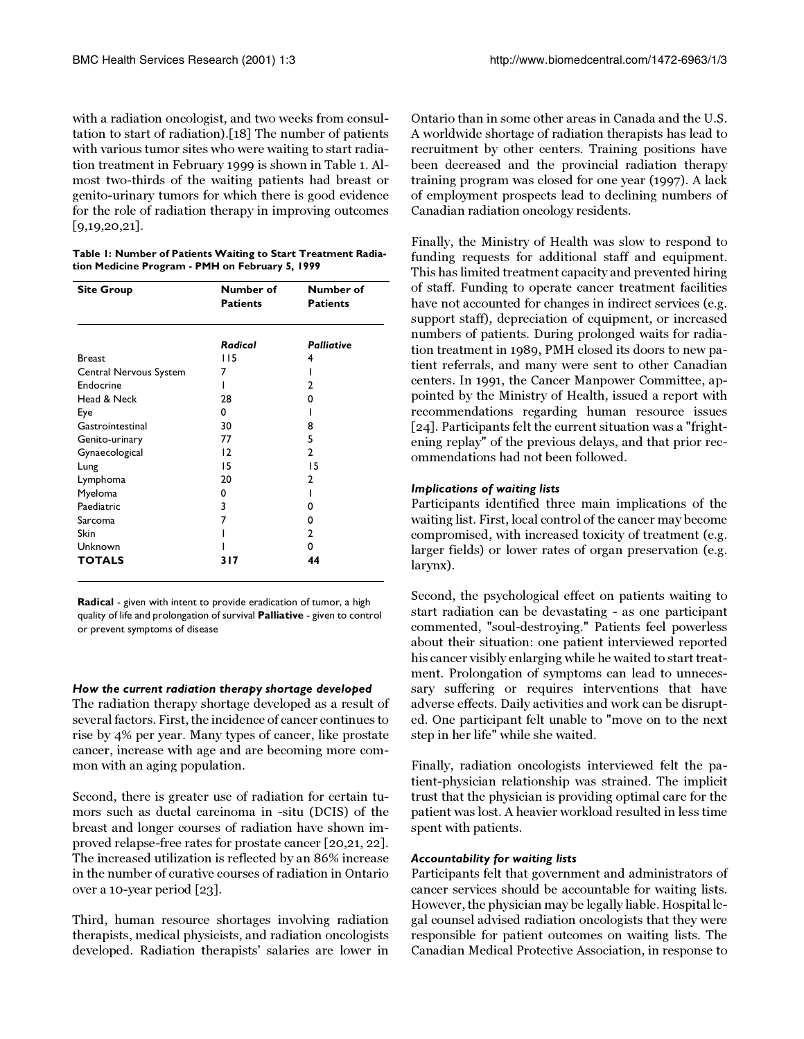with a radiation oncologist, and two weeks from consultation to start of radiation).[[18\]](#page-4-17) The number of patients with various tumor sites who were waiting to start radiation treatment in February 1999 is shown in Table [1](#page-1-0). Almost two-thirds of the waiting patients had breast or genito-urinary tumors for which there is good evidence for the role of radiation therapy in improving outcomes  $[9,19,20,21]$  $[9,19,20,21]$  $[9,19,20,21]$  $[9,19,20,21]$  $[9,19,20,21]$  $[9,19,20,21]$ .

| Table 1: Number of Patients Waiting to Start Treatment Radia- |
|---------------------------------------------------------------|
| tion Medicine Program - PMH on February 5, 1999               |

| <b>Site Group</b>      | Number of<br><b>Patients</b> | Number of<br><b>Patients</b> |
|------------------------|------------------------------|------------------------------|
|                        | Radical                      | <b>Palliative</b>            |
| <b>Breast</b>          | 115                          | 4                            |
| Central Nervous System | 7                            |                              |
| Endocrine              |                              | 2                            |
| Head & Neck            | 28                           | 0                            |
| Eye                    | 0                            |                              |
| Gastrointestinal       | 30                           | 8                            |
| Genito-urinary         | 77                           | 5                            |
| Gynaecological         | $\overline{2}$               | 2                            |
| Lung                   | 15                           | 15                           |
| Lymphoma               | 20                           | 2                            |
| Myeloma                | 0                            |                              |
| Paediatric             | 3                            | o                            |
| Sarcoma                | 7                            | 0                            |
| Skin                   |                              | 2                            |
| Unknown                |                              | o                            |
| <b>TOTALS</b>          | 317                          | 44                           |
|                        |                              |                              |

**Radical** - given with intent to provide eradication of tumor, a high quality of life and prolongation of survival **Palliative** - given to control or prevent symptoms of disease

#### *How the current radiation therapy shortage developed*

The radiation therapy shortage developed as a result of several factors. First, the incidence of cancer continues to rise by 4% per year. Many types of cancer, like prostate cancer, increase with age and are becoming more common with an aging population.

Second, there is greater use of radiation for certain tumors such as ductal carcinoma in -situ (DCIS) of the breast and longer courses of radiation have shown improved relapse-free rates for prostate cancer [\[20](#page-4-19)[,21](#page-4-20), [22\]](#page-4-21). The increased utilization is reflected by an 86% increase in the number of curative courses of radiation in Ontario over a 10-year period [\[23\]](#page-4-22).

Third, human resource shortages involving radiation therapists, medical physicists, and radiation oncologists developed. Radiation therapists' salaries are lower in Ontario than in some other areas in Canada and the U.S. A worldwide shortage of radiation therapists has lead to recruitment by other centers. Training positions have been decreased and the provincial radiation therapy training program was closed for one year (1997). A lack of employment prospects lead to declining numbers of Canadian radiation oncology residents.

Finally, the Ministry of Health was slow to respond to funding requests for additional staff and equipment. This has limited treatment capacity and prevented hiring of staff. Funding to operate cancer treatment facilities have not accounted for changes in indirect services (e.g. support staff), depreciation of equipment, or increased numbers of patients. During prolonged waits for radiation treatment in 1989, PMH closed its doors to new patient referrals, and many were sent to other Canadian centers. In 1991, the Cancer Manpower Committee, appointed by the Ministry of Health, issued a report with recommendations regarding human resource issues [[24\]](#page-4-23). Participants felt the current situation was a "frightening replay" of the previous delays, and that prior recommendations had not been followed.

## *Implications of waiting lists*

Participants identified three main implications of the waiting list. First, local control of the cancer may become compromised, with increased toxicity of treatment (e.g. larger fields) or lower rates of organ preservation (e.g. larynx).

Second, the psychological effect on patients waiting to start radiation can be devastating - as one participant commented, "soul-destroying." Patients feel powerless about their situation: one patient interviewed reported his cancer visibly enlarging while he waited to start treatment. Prolongation of symptoms can lead to unnecessary suffering or requires interventions that have adverse effects. Daily activities and work can be disrupted. One participant felt unable to "move on to the next step in her life" while she waited.

Finally, radiation oncologists interviewed felt the patient-physician relationship was strained. The implicit trust that the physician is providing optimal care for the patient was lost. A heavier workload resulted in less time spent with patients.

### *Accountability for waiting lists*

Participants felt that government and administrators of cancer services should be accountable for waiting lists. However, the physician may be legally liable. Hospital legal counsel advised radiation oncologists that they were responsible for patient outcomes on waiting lists. The Canadian Medical Protective Association, in response to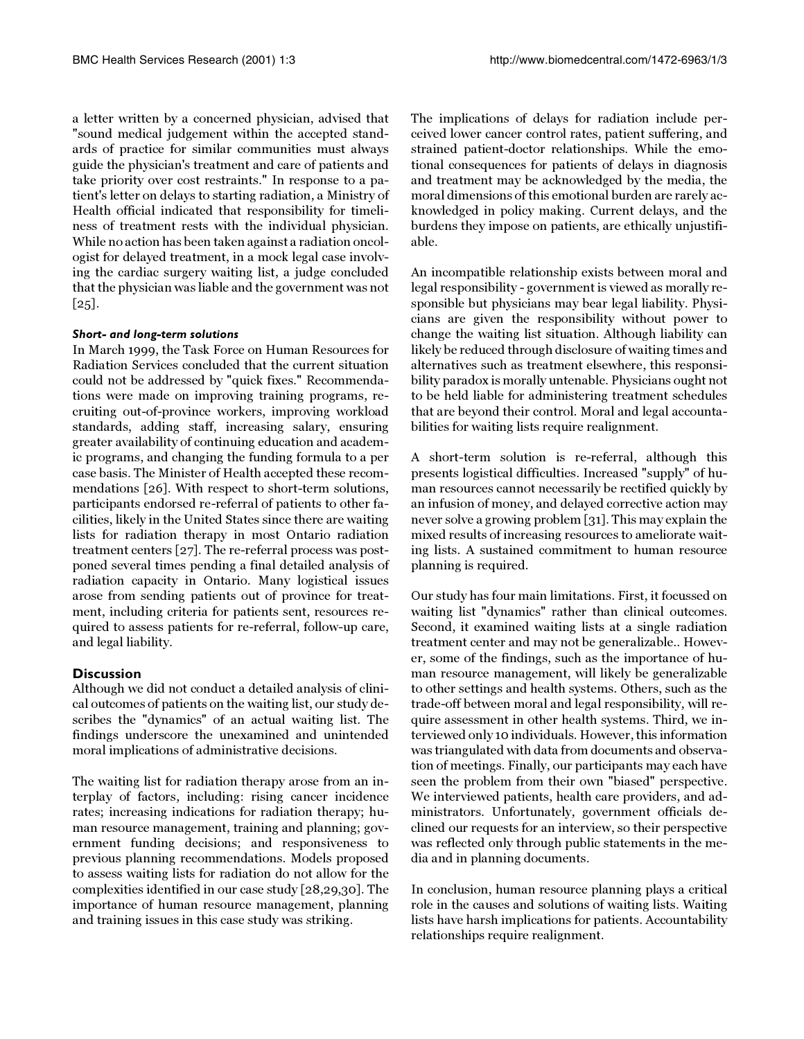a letter written by a concerned physician, advised that "sound medical judgement within the accepted standards of practice for similar communities must always guide the physician's treatment and care of patients and take priority over cost restraints." In response to a patient's letter on delays to starting radiation, a Ministry of Health official indicated that responsibility for timeliness of treatment rests with the individual physician. While no action has been taken against a radiation oncologist for delayed treatment, in a mock legal case involving the cardiac surgery waiting list, a judge concluded that the physician was liable and the government was not [[25](#page-4-24)].

#### *Short- and long-term solutions*

In March 1999, the Task Force on Human Resources for Radiation Services concluded that the current situation could not be addressed by "quick fixes." Recommendations were made on improving training programs, recruiting out-of-province workers, improving workload standards, adding staff, increasing salary, ensuring greater availability of continuing education and academic programs, and changing the funding formula to a per case basis. The Minister of Health accepted these recommendations [\[26](#page-4-25)]. With respect to short-term solutions, participants endorsed re-referral of patients to other facilities, likely in the United States since there are waiting lists for radiation therapy in most Ontario radiation treatment centers [\[27](#page-4-26)]. The re-referral process was postponed several times pending a final detailed analysis of radiation capacity in Ontario. Many logistical issues arose from sending patients out of province for treatment, including criteria for patients sent, resources required to assess patients for re-referral, follow-up care, and legal liability.

# **Discussion**

Although we did not conduct a detailed analysis of clinical outcomes of patients on the waiting list, our study describes the "dynamics" of an actual waiting list. The findings underscore the unexamined and unintended moral implications of administrative decisions.

The waiting list for radiation therapy arose from an interplay of factors, including: rising cancer incidence rates; increasing indications for radiation therapy; human resource management, training and planning; government funding decisions; and responsiveness to previous planning recommendations. Models proposed to assess waiting lists for radiation do not allow for the complexities identified in our case study [[28](#page-4-27)[,29](#page-4-28),[30](#page-4-29)]. The importance of human resource management, planning and training issues in this case study was striking.

The implications of delays for radiation include perceived lower cancer control rates, patient suffering, and strained patient-doctor relationships. While the emotional consequences for patients of delays in diagnosis and treatment may be acknowledged by the media, the moral dimensions of this emotional burden are rarely acknowledged in policy making. Current delays, and the burdens they impose on patients, are ethically unjustifiable.

An incompatible relationship exists between moral and legal responsibility - government is viewed as morally responsible but physicians may bear legal liability. Physicians are given the responsibility without power to change the waiting list situation. Although liability can likely be reduced through disclosure of waiting times and alternatives such as treatment elsewhere, this responsibility paradox is morally untenable. Physicians ought not to be held liable for administering treatment schedules that are beyond their control. Moral and legal accountabilities for waiting lists require realignment.

A short-term solution is re-referral, although this presents logistical difficulties. Increased "supply" of human resources cannot necessarily be rectified quickly by an infusion of money, and delayed corrective action may never solve a growing problem [\[31\]](#page-4-30). This may explain the mixed results of increasing resources to ameliorate waiting lists. A sustained commitment to human resource planning is required.

Our study has four main limitations. First, it focussed on waiting list "dynamics" rather than clinical outcomes. Second, it examined waiting lists at a single radiation treatment center and may not be generalizable.. However, some of the findings, such as the importance of human resource management, will likely be generalizable to other settings and health systems. Others, such as the trade-off between moral and legal responsibility, will require assessment in other health systems. Third, we interviewed only 10 individuals. However, this information was triangulated with data from documents and observation of meetings. Finally, our participants may each have seen the problem from their own "biased" perspective. We interviewed patients, health care providers, and administrators. Unfortunately, government officials declined our requests for an interview, so their perspective was reflected only through public statements in the media and in planning documents.

In conclusion, human resource planning plays a critical role in the causes and solutions of waiting lists. Waiting lists have harsh implications for patients. Accountability relationships require realignment.